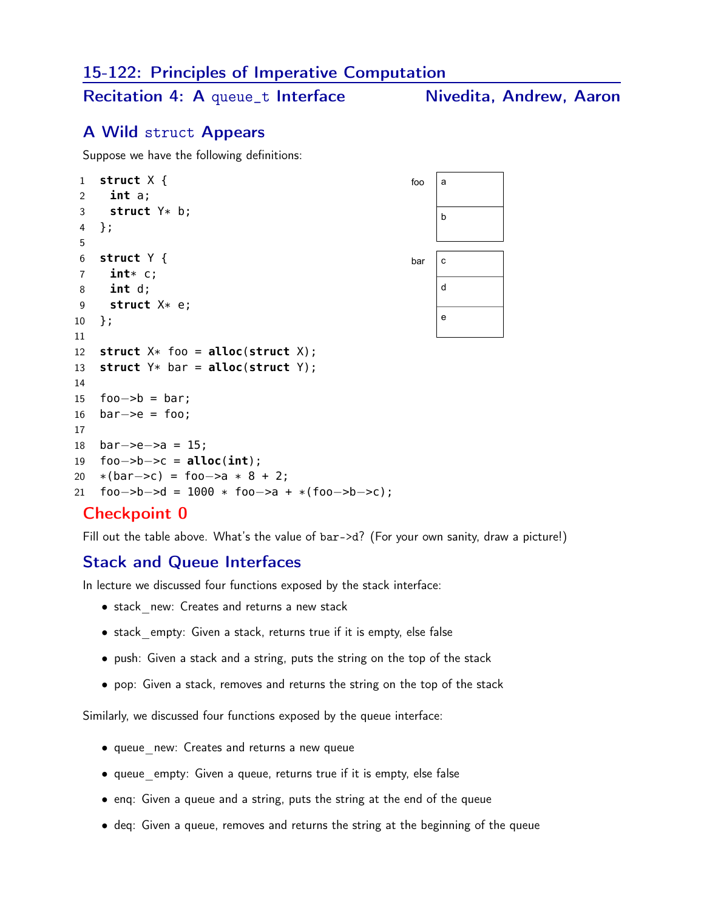#### 15-122: Principles of Imperative Computation

Recitation 4: A queue\_t Interface Nivedita, Andrew, Aaron

## A Wild struct Appears

Suppose we have the following definitions:

```
1 struct X {
2 int a;
3 struct Y* b;
4 };
5
6 struct Y {
7 int* c;
8 int d;
9 struct X* e;
10 };
11
12 struct X* foo = alloc(struct X);
13 struct Y* bar = alloc(struct Y);
14
15 foo−>b = bar;
16 bar−>e = foo;
17
18 bar−>e−>a = 15;
19 foo−>b−>c = alloc(int);
20 *(bar->c) = foo->a * 8 + 2;21 foo−>b−>d = 1000 * foo−>a + *(foo−>b−>c);
                                                foo |ab
                                                bar \ c
                                                     d
                                                     e
```
## Checkpoint 0

Fill out the table above. What's the value of bar->d? (For your own sanity, draw a picture!)

#### Stack and Queue Interfaces

In lecture we discussed four functions exposed by the stack interface:

- stack new: Creates and returns a new stack
- stack empty: Given a stack, returns true if it is empty, else false
- push: Given a stack and a string, puts the string on the top of the stack
- pop: Given a stack, removes and returns the string on the top of the stack

Similarly, we discussed four functions exposed by the queue interface:

- queue new: Creates and returns a new queue
- queue empty: Given a queue, returns true if it is empty, else false
- enq: Given a queue and a string, puts the string at the end of the queue
- deq: Given a queue, removes and returns the string at the beginning of the queue